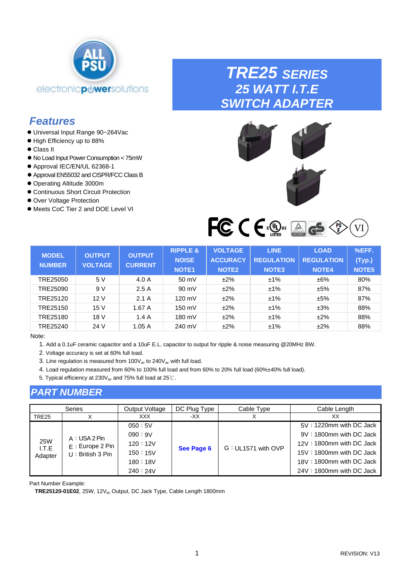<span id="page-0-0"></span>

### *Features*

- ⚫ Universal Input Range 90~264Vac
- ⚫ High Efficiency up to 88%
- ⚫ Class II
- ⚫ No Load Input Power Consumption < 75mW
- Approval IEC/EN/UL 62368-1
- ⚫ Approval EN55032 and CISPR/FCC Class B
- ⚫ Operating Altitude 3000m
- ⚫ Continuous Short Circuit Protection
- ⚫ Over Voltage Protection
- ⚫ Meets CoC Tier 2 and DOE Level VI

## *TRE25 SERIES 25 WATT I.T.E SWITCH ADAPTER*



FCCE SOUS AGE C VI

| <b>MODEL</b><br><b>NUMBER</b> | <b>OUTPUT</b><br><b>VOLTAGE</b> | <b>OUTPUT</b><br><b>CURRENT</b> | <b>RIPPLE &amp;</b><br><b>NOISE</b><br><b>NOTE1</b> | <b>VOLTAGE</b><br><b>ACCURACY</b><br><b>NOTE2</b> | <b>LINE</b><br><b>REGULATION</b><br><b>NOTE3</b> | <b>LOAD</b><br><b>REGULATION</b><br><b>NOTE4</b> | %EFF.<br>(Typ.)<br>NOTE <sub>5</sub> |
|-------------------------------|---------------------------------|---------------------------------|-----------------------------------------------------|---------------------------------------------------|--------------------------------------------------|--------------------------------------------------|--------------------------------------|
| TRE25050                      | 5 V                             | 4.0 A                           | 50 mV                                               | ±2%                                               | $±1\%$                                           | ±6%                                              | 80%                                  |
| TRE25090                      | 9 V                             | 2.5A                            | 90 mV                                               | ±2%                                               | $±1\%$                                           | ±5%                                              | 87%                                  |
| TRE25120                      | 12V                             | 2.1A                            | 120 mV                                              | ±2%                                               | $±1\%$                                           | ±5%                                              | 87%                                  |
| TRE25150                      | 15V                             | 1.67A                           | 150 mV                                              | ±2%                                               | $±1\%$                                           | ±3%                                              | 88%                                  |
| TRE25180                      | 18 V                            | 1.4A                            | 180 mV                                              | ±2%                                               | $±1\%$                                           | ±2%                                              | 88%                                  |
| TRE25240                      | 24 V                            | 1.05A                           | 240 mV                                              | ±2%                                               | $±1\%$                                           | ±2%                                              | 88%                                  |

### Note:

1. Add a 0.1uF ceramic capacitor and a 10uF E.L. capacitor to output for ripple & noise measuring @20MHz BW.

- 2. Voltage accuracy is set at 60% full load.
- 3. Line regulation is measured from  $100V_{ac}$  to  $240V_{ac}$  with full load.
- 4. Load regulation measured from 60% to 100% full load and from 60% to 20% full load (60%±40% full load).
- 5. Typical efficiency at 230V<sub>ac</sub> and 75% full load at 25℃.

### *PART NUMBER*

|                  | <b>Series</b>                         | Output Voltage | DC Plug Type | Cable Type         | Cable Length             |
|------------------|---------------------------------------|----------------|--------------|--------------------|--------------------------|
| TRE25            |                                       | XXX.           | -XX          |                    | XХ                       |
|                  |                                       | 050:5V         |              |                    | 5V: 1220mm with DC Jack  |
|                  | A: USA 2 Pin                          | 090:9V         | See Page 6   |                    | 9V: 1800mm with DC Jack  |
| <b>25W</b>       | E: Europe 2 Pin<br>$U:$ British 3 Pin | 120:12V        |              |                    | 12V: 1800mm with DC Jack |
| I.T.E<br>Adapter |                                       | 150:15V        |              | G: UL1571 with OVP | 15V: 1800mm with DC Jack |
|                  |                                       | 180:18V        |              |                    | 18V: 1800mm with DC Jack |
|                  |                                       | 240:24V        |              |                    | 24V: 1800mm with DC Jack |

Part Number Example:

TRE25120-01E02, 25W, 12V<sub>dc</sub> Output, DC Jack Type, Cable Length 1800mm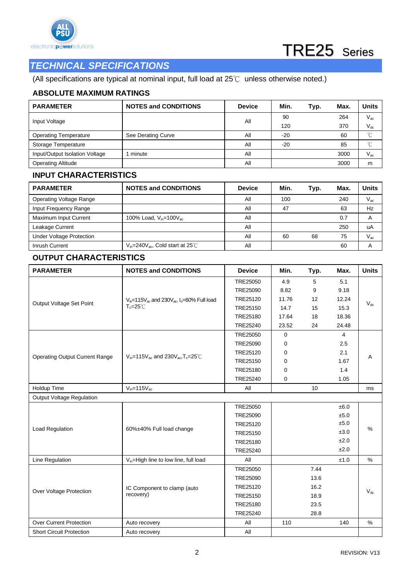



### *TECHNICAL SPECIFICATIONS*

(All specifications are typical at nominal input, full load at 25℃ unless otherwise noted.)

### **ABSOLUTE MAXIMUM RATINGS**

| <b>PARAMETER</b>               | <b>NOTES and CONDITIONS</b> | <b>Device</b> | Min.  | Typ. | Max. | Units        |
|--------------------------------|-----------------------------|---------------|-------|------|------|--------------|
|                                |                             | All           | 90    |      | 264  | $V_{\rm ac}$ |
| Input Voltage                  |                             |               | 120   |      | 370  | $V_{dc}$     |
| <b>Operating Temperature</b>   | See Derating Curve          | All           | $-20$ |      | 60   | $\gamma$     |
| Storage Temperature            |                             | All           | $-20$ |      | 85   | $\sim$       |
| Input/Output Isolation Voltage | minute                      | All           |       |      | 3000 | $V_{ac}$     |
| <b>Operating Altitude</b>      |                             | All           |       |      | 3000 | m            |

### **INPUT CHARACTERISTICS**

| <b>PARAMETER</b>                | <b>NOTES and CONDITIONS</b>                    | <b>Device</b> | Min. | Typ. | Max. | Units                      |
|---------------------------------|------------------------------------------------|---------------|------|------|------|----------------------------|
| <b>Operating Voltage Range</b>  |                                                | All           | 100  |      | 240  | $\mathsf{V}_{\mathsf{ac}}$ |
| Input Frequency Range           |                                                | All           | 47   |      | 63   | Hz                         |
| Maximum Input Current           | 100% Load, $V_{in} = 100V_{ac}$                | All           |      |      | 0.7  |                            |
| Leakage Current                 |                                                | All           |      |      | 250  | uA                         |
| <b>Under Voltage Protection</b> |                                                | All           | 60   | 68   | 75   | $V_{\rm ac}$               |
| Inrush Current                  | $V_{in}$ =240 $V_{ac}$ , Cold start at 25 $°C$ | All           |      |      | 60   |                            |

### **OUTPUT CHARACTERISTICS**

| <b>PARAMETER</b>                      | <b>NOTES and CONDITIONS</b>                                       | <b>Device</b> | Min.        | Typ. | Max.           | <b>Units</b> |
|---------------------------------------|-------------------------------------------------------------------|---------------|-------------|------|----------------|--------------|
|                                       |                                                                   | TRE25050      | 4.9         | 5    | 5.1            |              |
|                                       |                                                                   | TRE25090      | 8.82        | 9    | 9.18           |              |
|                                       | $V_{in}$ =115 $V_{ac}$ and 230 $V_{ac}$ , $I_{o}$ =60% Full load  | TRE25120      | 11.76       | 12   | 12.24          |              |
| Output Voltage Set Point              | $T_c = 25^\circ C$                                                | TRE25150      | 14.7        | 15   | 15.3           | $V_{dc}$     |
|                                       |                                                                   | TRE25180      | 17.64       | 18   | 18.36          |              |
|                                       |                                                                   | TRE25240      | 23.52       | 24   | 24.48          |              |
|                                       |                                                                   | TRE25050      | $\mathbf 0$ |      | $\overline{4}$ |              |
|                                       |                                                                   | TRE25090      | 0           |      | 2.5            |              |
|                                       |                                                                   | TRE25120      | 0           |      | 2.1            |              |
| <b>Operating Output Current Range</b> | $V_{in}$ =115 $V_{ac}$ and 230 $V_{ac}$ , T <sub>c</sub> =25 $°C$ | TRE25150      | 0           |      | 1.67           | Α            |
|                                       |                                                                   | TRE25180      | 0           |      | 1.4            |              |
|                                       |                                                                   | TRE25240      | 0           |      | 1.05           |              |
| Holdup Time                           | $V_{in} = 115V_{ac}$                                              | All           |             | 10   |                | ms           |
| <b>Output Voltage Regulation</b>      |                                                                   |               |             |      |                |              |
|                                       |                                                                   | TRE25050      |             |      | ±6.0           |              |
|                                       |                                                                   | TRE25090      |             |      | ±5.0           |              |
|                                       |                                                                   | TRE25120      |             |      | ±5.0           |              |
| Load Regulation                       | 60%±40% Full load change                                          | TRE25150      |             |      | ±3.0           | %            |
|                                       |                                                                   | TRE25180      |             |      | ±2.0           |              |
|                                       |                                                                   | TRE25240      |             |      | ±2.0           |              |
| Line Regulation                       | $V_{in}$ =High line to low line, full load                        | All           |             |      | ±1.0           | $\%$         |
|                                       |                                                                   | TRE25050      |             | 7.44 |                |              |
|                                       |                                                                   | TRE25090      |             | 13.6 |                |              |
| Over Voltage Protection               | IC Component to clamp (auto                                       | TRE25120      |             | 16.2 |                | $V_{dc}$     |
|                                       | recovery)                                                         | TRE25150      |             | 18.9 |                |              |
|                                       |                                                                   | TRE25180      |             | 23.5 |                |              |
|                                       |                                                                   | TRE25240      |             | 28.8 |                |              |
| <b>Over Current Protection</b>        | Auto recovery                                                     | All           | 110         |      | 140            | %            |
| <b>Short Circuit Protection</b>       | Auto recovery                                                     | All           |             |      |                |              |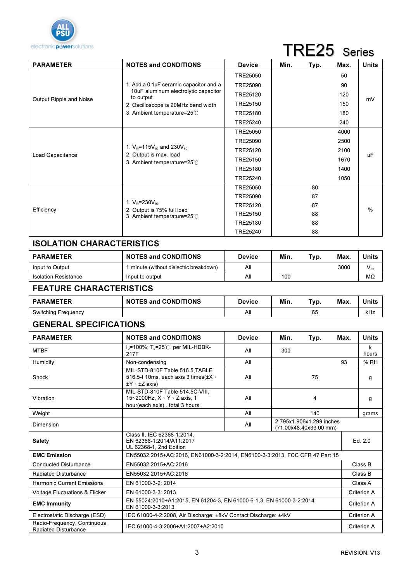

# TRE25 Series

| <b>PARAMETER</b>        | <b>NOTES and CONDITIONS</b>                                                                         | <b>Device</b>   | Min. | Typ. | Max. | <b>Units</b>  |
|-------------------------|-----------------------------------------------------------------------------------------------------|-----------------|------|------|------|---------------|
|                         |                                                                                                     | TRE25050        |      |      | 50   |               |
|                         | 1. Add a 0.1 uF ceramic capacitor and a                                                             | <b>TRE25090</b> |      |      | 90   |               |
|                         | 10uF aluminum electrolytic capacitor<br>to output                                                   | TRE25120        |      |      | 120  |               |
| Output Ripple and Noise | 2. Oscilloscope is 20MHz band width                                                                 | TRE25150        |      |      | 150  | mV            |
|                         | 3. Ambient temperature=25°C                                                                         | TRE25180        |      |      | 180  |               |
|                         |                                                                                                     | TRE25240        |      |      | 240  |               |
|                         |                                                                                                     | <b>TRE25050</b> |      |      | 4000 |               |
|                         | 1. $V_{in}$ =115 $V_{ac}$ and 230 $V_{ac}$<br>2. Output is max. load<br>3. Ambient temperature=25°C | TRE25090        |      |      | 2500 |               |
|                         |                                                                                                     | TRE25120        |      |      | 2100 |               |
| Load Capacitance        |                                                                                                     | TRE25150        |      |      | 1670 | <b>uF</b>     |
|                         |                                                                                                     | TRE25180        |      |      | 1400 |               |
|                         |                                                                                                     | TRE25240        |      |      | 1050 |               |
|                         |                                                                                                     | TRE25050        |      | 80   |      |               |
|                         |                                                                                                     | TRE25090        |      | 87   |      |               |
| Efficiency              | 1. $V_{in} = 230V_{ac}$                                                                             | TRE25120        |      | 87   |      | $\frac{0}{0}$ |
|                         | 2. Output is 75% full load<br>3. Ambient temperature=25°C                                           | TRE25150        |      | 88   |      |               |
|                         |                                                                                                     | TRE25180        |      | 88   |      |               |
|                         |                                                                                                     | <b>TRE25240</b> |      | 88   |      |               |

### ISOLATION CHARACTERISTICS

| <b>PARAMETER</b>            | <b>NOTES and CONDITIONS</b>           | <b>Device</b> | Min. | Typ. | Max  | Units    |
|-----------------------------|---------------------------------------|---------------|------|------|------|----------|
| Input to Output             | minute (without dielectric breakdown) | All           |      |      | 3000 | $V_{ac}$ |
| <b>Isolation Resistance</b> | Input to output                       | Αll           | 100  |      |      | MΩ       |

### FEATURE CHARACTERISTICS

| <b>PARAMETER</b>           | <b>NOTES and CONDITIONS</b> | <b>Device</b> | Min. | Тур. | Max | Units |
|----------------------------|-----------------------------|---------------|------|------|-----|-------|
| <b>Switching Frequency</b> |                             | All           |      | 65   |     | kHz   |

### GENERAL SPECIFICATIONS

| <b>PARAMETER</b>                                    | <b>NOTES and CONDITIONS</b><br><b>Device</b><br>Min.<br>Typ.                                                      |     | Max. | Units |    |             |  |
|-----------------------------------------------------|-------------------------------------------------------------------------------------------------------------------|-----|------|-------|----|-------------|--|
| <b>MTBF</b>                                         | $I_0$ =100%; T <sub>a</sub> =25°C per MIL-HDBK-<br>300<br>All<br>217F                                             |     |      |       |    | k<br>hours  |  |
| Humidity                                            | Non-condensing                                                                                                    | All |      |       | 93 | %RH         |  |
| Shock                                               | MIL-STD-810F Table 516.5.TABLE<br>516.5-1 10ms, each axis 3 times $(\pm X \cdot$<br>$\pm$ Y $\cdot$ $\pm$ Z axis) | All |      | 75    |    | g           |  |
| Vibration                                           | MIL-STD-810F Table 514.5C-VIII.<br>15~2000Hz, X · Y · Z axis, 1<br>hour(each axis), total 3 hours.                | All |      | 4     |    | g           |  |
| Weight                                              |                                                                                                                   | All |      | 140   |    | grams       |  |
| Dimension                                           | 2.795x1.906x1.299 inches<br>All<br>(71.00x48.40x33.00 mm)                                                         |     |      |       |    |             |  |
| <b>Safety</b>                                       | Class II. IEC 62368-1:2014.<br>EN 62368-1:2014/A11:2017<br>UL 62368-1, 2nd Edition                                |     |      |       |    | Ed. 2.0     |  |
| <b>EMC Emission</b>                                 | EN55032:2015+AC:2016, EN61000-3-2:2014, EN6100-3-3:2013, FCC CFR 47 Part 15                                       |     |      |       |    |             |  |
| <b>Conducted Disturbance</b>                        | EN55032:2015+AC:2016                                                                                              |     |      |       |    | Class B     |  |
| Radiated Disturbance                                | EN55032:2015+AC:2016                                                                                              |     |      |       |    | Class B     |  |
| <b>Harmonic Current Emissions</b>                   | EN 61000-3-2: 2014                                                                                                |     |      |       |    | Class A     |  |
| <b>Voltage Fluctuations &amp; Flicker</b>           | EN 61000-3-3: 2013                                                                                                |     |      |       |    | Criterion A |  |
| <b>EMC Immunity</b>                                 | EN 55024:2010+A1:2015, EN 61204-3, EN 61000-6-1,3, EN 61000-3-2:2014<br>EN 61000-3-3:2013                         |     |      |       |    | Criterion A |  |
| Electrostatic Discharge (ESD)                       | IEC 61000-4-2:2008, Air Discharge: ±8kV Contact Discharge: ±4kV                                                   |     |      |       |    |             |  |
| Radio-Frequency, Continuous<br>Radiated Disturbance | IEC 61000-4-3:2006+A1:2007+A2:2010                                                                                |     |      |       |    | Criterion A |  |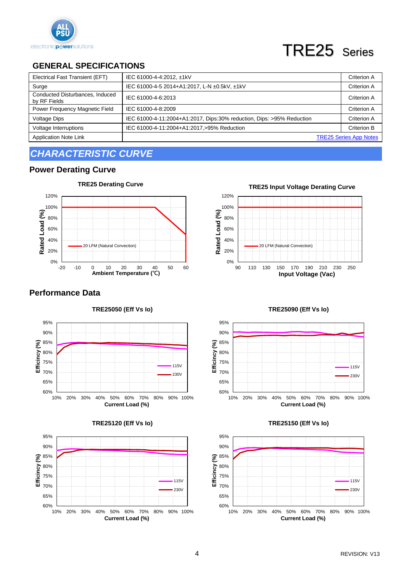

# TRE25 Series

### **GENERAL SPECIFICATIONS**

| Electrical Fast Transient (EFT)                 | IEC 61000-4-4:2012, ±1kV                                              | Criterion A                   |
|-------------------------------------------------|-----------------------------------------------------------------------|-------------------------------|
| Surge                                           | IEC 61000-4-5 2014+A1:2017, L-N ±0.5kV, ±1kV                          | Criterion A                   |
| Conducted Disturbances, Induced<br>by RF Fields | IEC 61000-4-6:2013                                                    | Criterion A                   |
| Power Frequency Magnetic Field                  | IEC 61000-4-8:2009                                                    | Criterion A                   |
| <b>Voltage Dips</b>                             | IEC 61000-4-11:2004+A1:2017, Dips:30% reduction, Dips: >95% Reduction | Criterion A                   |
| Voltage Interruptions                           | IEC 61000-4-11:2004+A1:2017,>95% Reduction                            | <b>Criterion B</b>            |
| <b>Application Note Link</b>                    |                                                                       | <b>TRE25 Series App Notes</b> |

## *CHARACTERISTIC CURVE*

### **Power Derating Curve**



### **Performance Data**







**TRE25 Input Voltage Derating Curve** 





### **TRE25150 (Eff Vs Io)**



### **TRE25090 (Eff Vs Io)**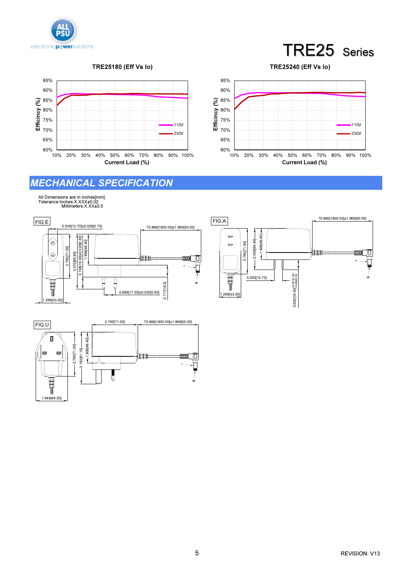



TRE25180 (Eff Vs Io)





### MECHANICAL SPECIFICATION

Ů

All Dimensions are in inches[mm] Tolerance:Inches:X.XXX±0.02 Millimeters:X.XX±0.5

1.949[49.50]

Filip